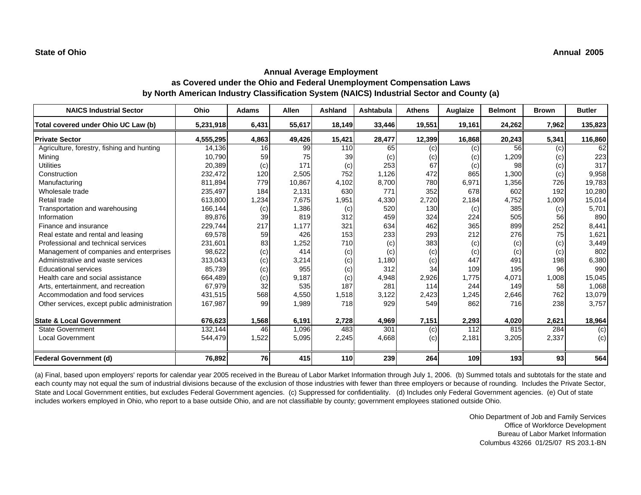| <b>NAICS Industrial Sector</b>               | Ohio      | <b>Adams</b> | <b>Allen</b> | <b>Ashland</b> | Ashtabula | <b>Athens</b> | Auglaize | <b>Belmont</b> | <b>Brown</b> | <b>Butler</b>  |
|----------------------------------------------|-----------|--------------|--------------|----------------|-----------|---------------|----------|----------------|--------------|----------------|
| Total covered under Ohio UC Law (b)          | 5,231,918 | 6,431        | 55,617       | 18,149         | 33,446    | 19,551        | 19,161   | 24,262         | 7,962        | 135,823        |
| <b>Private Sector</b>                        | 4,555,295 | 4,863        | 49,426       | 15,421         | 28,477    | 12,399        | 16,868   | 20,243         | 5,341        | 116,860        |
| Agriculture, forestry, fishing and hunting   | 14.136    | 16           | 99           | 110            | 65        | (c)           | (c)      | 56             | (c)          | 62             |
| Mining                                       | 10,790    | 59           | 75           | 39             | (c)       | (c)           | (c)      | 1,209          | (c)          | 223            |
| <b>Utilities</b>                             | 20,389    | (c)          | 171          | (c)            | 253       | 67            | (c)      | 98             | (c)          | 317            |
| Construction                                 | 232,472   | 120          | 2,505        | 752            | 1,126     | 472           | 865      | 1,300          | (c)          | 9,958          |
| Manufacturing                                | 811,894   | 779          | 10,867       | 4,102          | 8,700     | 780           | 6,971    | 1,356          | 726          | 19,783         |
| Wholesale trade                              | 235,497   | 184          | 2,131        | 630            | 771       | 352           | 678      | 602            | 192          | 10,280         |
| Retail trade                                 | 613,800   | 1,234        | 7,675        | 1,951          | 4,330     | 2,720         | 2,184    | 4,752          | 1,009        | 15,014         |
| Transportation and warehousing               | 166,144   | (c)          | 1,386        | (c)            | 520       | 130           | (c)      | 385            | (c)          | 5,701          |
| Information                                  | 89,876    | 39           | 819          | 312            | 459       | 324           | 224      | 505            | 56           | 890            |
| Finance and insurance                        | 229,744   | 217          | 1,177        | 321            | 634       | 462           | 365      | 899            | 252          | 8,441          |
| Real estate and rental and leasing           | 69,578    | 59           | 426          | 153            | 233       | 293           | 212      | 276            | 75           | 1,621          |
| Professional and technical services          | 231,601   | 83           | 1,252        | 710            | (c)       | 383           | (c)      | (c)            | (c)          | 3,449          |
| Management of companies and enterprises      | 98,622    | (c)          | 414          | (c)            | (c)       | (c)           | (c)      | (c)            | (c)          | 802            |
| Administrative and waste services            | 313,043   | (c)          | 3,214        | (c)            | 1,180     | (c)           | 447      | 491            | 198          | 6,380          |
| <b>Educational services</b>                  | 85,739    | (c)          | 955          | (c)            | 312       | 34            | 109      | 195            | 96           | 990            |
| Health care and social assistance            | 664,489   | (c)          | 9,187        | (c)            | 4,948     | 2,926         | 1,775    | 4,071          | 1,008        | 15,045         |
| Arts, entertainment, and recreation          | 67,979    | 32           | 535          | 187            | 281       | 114           | 244      | 149            | 58           | 1,068          |
| Accommodation and food services              | 431,515   | 568          | 4,550        | 1,518          | 3,122     | 2,423         | 1,245    | 2,646          | 762          | 13,079         |
| Other services, except public administration | 167,987   | 99           | 1,989        | 718            | 929       | 549           | 862      | 716            | 238          | 3,757          |
| <b>State &amp; Local Government</b>          | 676,623   | 1,568        | 6,191        | 2,728          | 4,969     | 7,151         | 2,293    | 4,020          | 2,621        | 18,964         |
| <b>State Government</b>                      | 132,144   | 46           | 1,096        | 483            | 301       | (c)           | 112      | 815            | 284          | $\overline{c}$ |
| <b>Local Government</b>                      | 544,479   | 1,522        | 5,095        | 2,245          | 4,668     | (c)           | 2,181    | 3,205          | 2,337        | (c)            |
| <b>Federal Government (d)</b>                | 76,892    | 76           | 415          | 110            | 239       | 264           | 109      | 193            | 93           | 564            |

(a) Final, based upon employers' reports for calendar year 2005 received in the Bureau of Labor Market Information through July 1, 2006. (b) Summed totals and subtotals for the state and each county may not equal the sum of industrial divisions because of the exclusion of those industries with fewer than three employers or because of rounding. Includes the Private Sector, State and Local Government entities, but excludes Federal Government agencies. (c) Suppressed for confidentiality. (d) Includes only Federal Government agencies. (e) Out of state includes workers employed in Ohio, who report to a base outside Ohio, and are not classifiable by county; government employees stationed outside Ohio.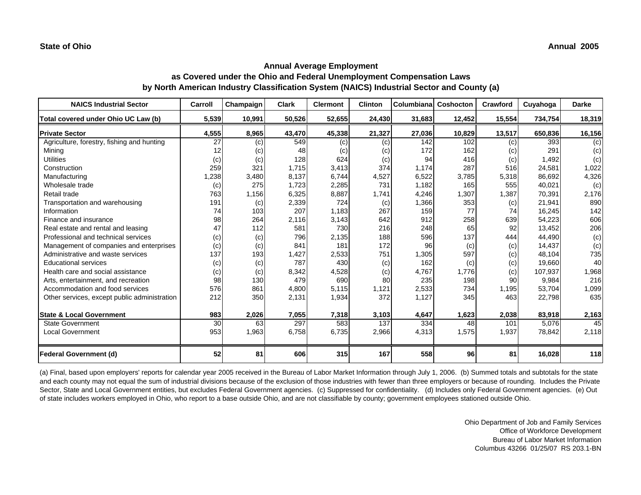| <b>NAICS Industrial Sector</b>               | Carroll | Champaign | <b>Clark</b> | <b>Clermont</b> | <b>Clinton</b> | Columbiana | Coshocton | Crawford | Cuyahoga | <b>Darke</b> |
|----------------------------------------------|---------|-----------|--------------|-----------------|----------------|------------|-----------|----------|----------|--------------|
| Total covered under Ohio UC Law (b)          | 5,539   | 10,991    | 50,526       | 52,655          | 24,430         | 31,683     | 12,452    | 15,554   | 734,754  | 18,319       |
| <b>Private Sector</b>                        | 4,555   | 8,965     | 43,470       | 45,338          | 21,327         | 27,036     | 10,829    | 13,517   | 650,836  | 16,156       |
| Agriculture, forestry, fishing and hunting   | 27      | (c)       | 549          | (c)             | (c)            | 142        | 102       | (c)      | 393      | (c)          |
| Mining                                       |         | (c)       | 48           | (c)             | (c)            | 172        | 162       | (c)      | 291      | (c)          |
| <b>Utilities</b>                             | (c)     | (c)       | 128          | 624             | (c)            | 94         | 416       | (c)      | 1,492    | (c)          |
| Construction                                 | 259     | 321       | 1,715        | 3,413           | 374            | 1,174      | 287       | 516      | 24,581   | 1,022        |
| Manufacturing                                | ,238    | 3,480     | 8,137        | 6,744           | 4,527          | 6,522      | 3,785     | 5,318    | 86,692   | 4,326        |
| Wholesale trade                              | (c)     | 275       | 1,723        | 2,285           | 731            | 1,182      | 165       | 555      | 40,021   | (c)          |
| Retail trade                                 | 763     | 1,156     | 6,325        | 8,887           | 1,741          | 4,246      | 1,307     | 1,387    | 70,391   | 2,176        |
| Transportation and warehousing               | 191     | (c)       | 2,339        | 724             | (c)            | 1,366      | 353       | (c)      | 21,941   | 890          |
| Information                                  | 74      | 103       | 207          | 1,183           | 267            | 159        | 77        | 74       | 16,245   | 142          |
| Finance and insurance                        | 98      | 264       | 2,116        | 3,143           | 642            | 912        | 258       | 639      | 54,223   | 606          |
| Real estate and rental and leasing           | 47      | 112       | 581          | 730             | 216            | 248        | 65        | 92       | 13,452   | 206          |
| Professional and technical services          | (c)     | (c)       | 796          | 2,135           | 188            | 596        | 137       | 444      | 44,490   | (c)          |
| Management of companies and enterprises      | (c)     | (c)       | 841          | 181             | 172            | 96         | (c)       | (c)      | 14,437   | (c)          |
| Administrative and waste services            | 137     | 193       | 1,427        | 2,533           | 751            | 1,305      | 597       | (c)      | 48,104   | 735          |
| <b>Educational services</b>                  | (c)     | (c)       | 787          | 430             | (c)            | 162        | (c)       | (c)      | 19,660   | 40           |
| Health care and social assistance            | (c)     | (c)       | 8,342        | 4,528           | (c)            | 4,767      | 1.776     | (c)      | 107,937  | 1,968        |
| Arts, entertainment, and recreation          | 98      | 130       | 479          | 690             | 80             | 235        | 198       | 90       | 9,984    | 216          |
| Accommodation and food services              | 576     | 861       | 4,800        | 5,115           | 1,121          | 2,533      | 734       | 1,195    | 53,704   | 1,099        |
| Other services, except public administration | 212     | 350       | 2,131        | 1,934           | 372            | 1,127      | 345       | 463      | 22,798   | 635          |
| <b>State &amp; Local Government</b>          | 983     | 2,026     | 7,055        | 7,318           | 3,103          | 4,647      | 1,623     | 2,038    | 83,918   | 2,163        |
| <b>State Government</b>                      | 30      | 63        | 297          | 583             | 137            | 334        | 48        | 101      | 5,076    | 45           |
| <b>Local Government</b>                      | 953     | 1,963     | 6,758        | 6,735           | 2,966          | 4,313      | 1,575     | 1,937    | 78,842   | 2,118        |
| <b>Federal Government (d)</b>                | 52      | 81        | 606          | 315             | 167            | 558        | 96        | 81       | 16,028   | 118          |

(a) Final, based upon employers' reports for calendar year 2005 received in the Bureau of Labor Market Information through July 1, 2006. (b) Summed totals and subtotals for the state and each county may not equal the sum of industrial divisions because of the exclusion of those industries with fewer than three employers or because of rounding. Includes the Private Sector, State and Local Government entities, but excludes Federal Government agencies. (c) Suppressed for confidentiality. (d) Includes only Federal Government agencies. (e) Out of state includes workers employed in Ohio, who report to a base outside Ohio, and are not classifiable by county; government employees stationed outside Ohio.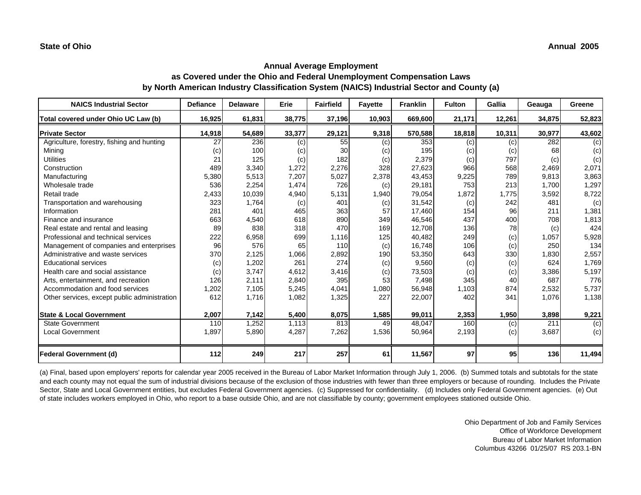| <b>NAICS Industrial Sector</b>               | <b>Defiance</b> | <b>Delaware</b> | Erie   | <b>Fairfield</b> | <b>Fayette</b> | <b>Franklin</b> | <b>Fulton</b> | Gallia | Geauga | Greene |
|----------------------------------------------|-----------------|-----------------|--------|------------------|----------------|-----------------|---------------|--------|--------|--------|
| Total covered under Ohio UC Law (b)          | 16,925          | 61,831          | 38,775 | 37,196           | 10,903         | 669,600         | 21,171        | 12,261 | 34,875 | 52,823 |
| <b>Private Sector</b>                        | 14,918          | 54,689          | 33,377 | 29,121           | 9,318          | 570,588         | 18,818        | 10,311 | 30,977 | 43,602 |
| Agriculture, forestry, fishing and hunting   | 27              | 236             | (c)    | 55               | (c)            | 353             | (c)           | (c)    | 282    | (c)    |
| Minina                                       | (c)             | 100             | (c)    | 30               | (c)            | 195             | (c)           | (c)    | 68     | (c)    |
| <b>Utilities</b>                             | 21              | 125             | (c)    | 182              | (c)            | 2,379           | (c)           | 797    | (c)    | (c)    |
| Construction                                 | 489             | 3,340           | 1,272  | 2,276            | 328            | 27,623          | 966           | 568    | 2.469  | 2,071  |
| Manufacturing                                | 5,380           | 5,513           | 7,207  | 5,027            | 2,378          | 43,453          | 9,225         | 789    | 9,813  | 3,863  |
| Wholesale trade                              | 536             | 2,254           | 1,474  | 726              | (c)            | 29,181          | 753           | 213    | 1,700  | 1,297  |
| Retail trade                                 | 2,433           | 10,039          | 4,940  | 5,131            | 1,940          | 79,054          | 1,872         | 1,775  | 3,592  | 8,722  |
| Transportation and warehousing               | 323             | 1,764           | (c)    | 401              | (c)            | 31,542          | (c)           | 242    | 481    | (c)    |
| Information                                  | 281             | 401             | 465    | 363              | 57             | 17,460          | 154           | 96     | 211    | 1,381  |
| Finance and insurance                        | 663             | 4,540           | 618    | 890              | 349            | 46,546          | 437           | 400    | 708    | 1,813  |
| Real estate and rental and leasing           | 89              | 838             | 318    | 470              | 169            | 12,708          | 136           | 78     | (c)    | 424    |
| Professional and technical services          | 222             | 6,958           | 699    | 1,116            | 125            | 40,482          | 249           | (c)    | 1,057  | 5,928  |
| Management of companies and enterprises      | 96              | 576             | 65     | 110              | (c)            | 16,748          | 106           | (c)    | 250    | 134    |
| Administrative and waste services            | 370             | 2,125           | 1,066  | 2,892            | 190            | 53,350          | 643           | 330    | 1,830  | 2,557  |
| <b>Educational services</b>                  | (c)             | 1,202           | 261    | 274              | (c)            | 9,560           | (c)           | (c)    | 624    | 1,769  |
| Health care and social assistance            | (c)             | 3,747           | 4,612  | 3,416            | (c)            | 73,503          | (c)           | (c)    | 3,386  | 5,197  |
| Arts, entertainment, and recreation          | 126             | 2,111           | 2,840  | 395              | 53             | 7,498           | 345           | 40     | 687    | 776    |
| Accommodation and food services              | 1,202           | 7,105           | 5,245  | 4,041            | 1,080          | 56,948          | 1,103         | 874    | 2.532  | 5,737  |
| Other services, except public administration | 612             | 1,716           | 1,082  | 1,325            | 227            | 22,007          | 402           | 341    | 1,076  | 1,138  |
|                                              |                 |                 |        |                  |                |                 |               |        |        |        |
| <b>State &amp; Local Government</b>          | 2,007           | 7,142           | 5,400  | 8,075            | 1,585          | 99,011          | 2,353         | 1,950  | 3,898  | 9,221  |
| <b>State Government</b>                      | 110             | 1,252           | 1,113  | 813              | 49             | 48,047          | 160           | (c)    | 211    | (c)    |
| <b>Local Government</b>                      | 1,897           | 5,890           | 4,287  | 7,262            | 1,536          | 50,964          | 2,193         | (c)    | 3,687  | (c)    |
|                                              |                 |                 |        |                  |                |                 |               |        |        |        |
| Federal Government (d)                       | 112             | 249             | 217    | 257              | 61             | 11,567          | 97            | 95     | 136    | 11,494 |

(a) Final, based upon employers' reports for calendar year 2005 received in the Bureau of Labor Market Information through July 1, 2006. (b) Summed totals and subtotals for the state and each county may not equal the sum of industrial divisions because of the exclusion of those industries with fewer than three employers or because of rounding. Includes the Private Sector, State and Local Government entities, but excludes Federal Government agencies. (c) Suppressed for confidentiality. (d) Includes only Federal Government agencies. (e) Out of state includes workers employed in Ohio, who report to a base outside Ohio, and are not classifiable by county; government employees stationed outside Ohio.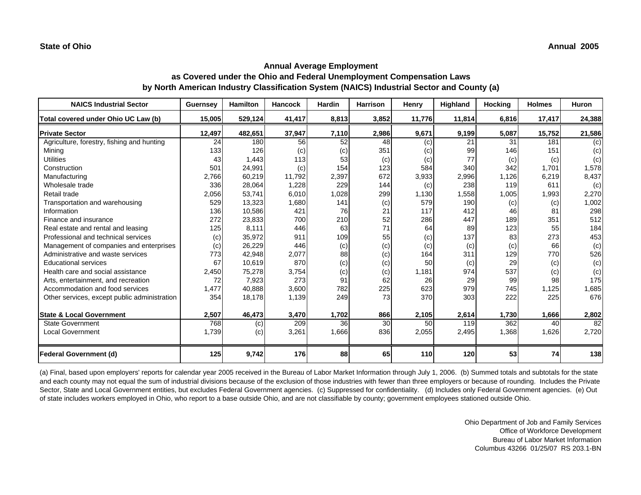| <b>NAICS Industrial Sector</b>               | <b>Guernsey</b> | <b>Hamilton</b> | <b>Hancock</b> | Hardin | Harrison  | Henry  | Highland | <b>Hocking</b> | <b>Holmes</b> | <b>Huron</b> |
|----------------------------------------------|-----------------|-----------------|----------------|--------|-----------|--------|----------|----------------|---------------|--------------|
| Total covered under Ohio UC Law (b)          | 15,005          | 529,124         | 41,417         | 8,813  | 3,852     | 11,776 | 11,814   | 6,816          | 17,417        | 24,388       |
| <b>Private Sector</b>                        | 12,497          | 482,651         | 37,947         | 7,110  | 2,986     | 9,671  | 9,199    | 5,087          | 15,752        | 21,586       |
| Agriculture, forestry, fishing and hunting   | 24              | 180             | 56             | 52     | 48        | (c)    | 21       | 31             | 181           | (c)          |
| Mining                                       | 133             | 126             | (c)            | (c)    | 351       | (c)    | 99       | 146            | 151           | (c)          |
| <b>Utilities</b>                             | 43              | 1,443           | 113            | 53     | (c)       | (c)    | 77       | (c)            | (c)           | (c)          |
| Construction                                 | 501             | 24,991          | (c)            | 154    | 123       | 584    | 340      | 342            | 1,701         | 1,578        |
| Manufacturing                                | 2,766           | 60,219          | 11,792         | 2,397  | 672       | 3,933  | 2,996    | 1,126          | 6,219         | 8,437        |
| Wholesale trade                              | 336             | 28,064          | 1,228          | 229    | 144       | (c)    | 238      | 119            | 611           | (c)          |
| Retail trade                                 | 2,056           | 53,741          | 6,010          | 1,028  | 299       | 1,130  | 1,558    | 1,005          | 1,993         | 2,270        |
| Transportation and warehousing               | 529             | 13,323          | 1,680          | 141    | (c)       | 579    | 190      | (c)            | (c)           | 1,002        |
| Information                                  | 136             | 10,586          | 421            | 76     | 21        | 117    | 412      | 46             | 81            | 298          |
| Finance and insurance                        | 272             | 23,833          | 700            | 210    | 52        | 286    | 447      | 189            | 351           | 512          |
| Real estate and rental and leasing           | 125             | 8,111           | 446            | 63     | 71        | 64     | 89       | 123            | 55            | 184          |
| Professional and technical services          | (c)             | 35,972          | 911            | 109    | 55        | (c)    | 137      | 83             | 273           | 453          |
| Management of companies and enterprises      | (c)             | 26,229          | 446            | (c)    | (c)       | (c)    | (c)      | (c)            | 66            | (c)          |
| Administrative and waste services            | 773             | 42,948          | 2,077          | 88     | (c)       | 164    | 311      | 129            | 770           | 526          |
| <b>Educational services</b>                  | 67              | 10,619          | 870            | (c)    | (c)       | 50     | (c)      | 29             | (c)           | (c)          |
| Health care and social assistance            | 2,450           | 75,278          | 3,754          | (c)    | (c)       | 1,181  | 974      | 537            | (c)           | (c)          |
| Arts, entertainment, and recreation          | 72              | 7,923           | 273            | 91     | 62        | 26     | 29       | 99             | 98            | 175          |
| Accommodation and food services              | 1,477           | 40,888          | 3,600          | 782    | 225       | 623    | 979      | 745            | 1,125         | 1,685        |
| Other services, except public administration | 354             | 18,178          | 1,139          | 249    | 73        | 370    | 303      | 222            | 225           | 676          |
| <b>State &amp; Local Government</b>          | 2,507           | 46,473          | 3,470          | 1,702  | 866       | 2,105  | 2,614    | 1,730          | 1,666         | 2,802        |
| <b>State Government</b>                      | 768             | (c)             | 209            | 36     | 30        | 50     | 119      | 362            | 40            | 82           |
| <b>Local Government</b>                      | 1,739           | (c)             | 3,261          | 1,666  | 836       | 2,055  | 2,495    | 1,368          | 1,626         | 2,720        |
| Federal Government (d)                       | 125             | 9,742           | 176            | 88     | <b>65</b> | 110    | 120      | 53             | 74            | 138          |

(a) Final, based upon employers' reports for calendar year 2005 received in the Bureau of Labor Market Information through July 1, 2006. (b) Summed totals and subtotals for the state and each county may not equal the sum of industrial divisions because of the exclusion of those industries with fewer than three employers or because of rounding. Includes the Private Sector, State and Local Government entities, but excludes Federal Government agencies. (c) Suppressed for confidentiality. (d) Includes only Federal Government agencies. (e) Out of state includes workers employed in Ohio, who report to a base outside Ohio, and are not classifiable by county; government employees stationed outside Ohio.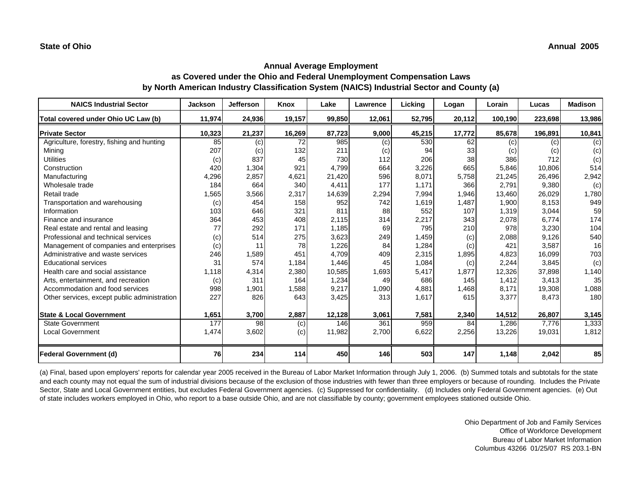| <b>NAICS Industrial Sector</b>               | <b>Jackson</b> | <b>Jefferson</b> | Knox   | Lake   | Lawrence | Licking | Logan  | Lorain  | Lucas   | <b>Madison</b> |
|----------------------------------------------|----------------|------------------|--------|--------|----------|---------|--------|---------|---------|----------------|
| Total covered under Ohio UC Law (b)          | 11,974         | 24,936           | 19,157 | 99,850 | 12,061   | 52,795  | 20,112 | 100,190 | 223,698 | 13,986         |
| <b>Private Sector</b>                        | 10,323         | 21,237           | 16,269 | 87,723 | 9,000    | 45,215  | 17,772 | 85,678  | 196,891 | 10,841         |
| Agriculture, forestry, fishing and hunting   | 85             | (c)              | 72     | 985    | (c)      | 530     | 62     | (c)     | (c)     | (c)            |
| Minina                                       | 207            | (c)              | 132    | 211    | (c)      | 94      | 33     | (c)     | (c)     | (c)            |
| <b>Utilities</b>                             | (c)            | 837              | 45     | 730    | 112      | 206     | 38     | 386     | 712     | (c)            |
| Construction                                 | 420            | 1,304            | 921    | 4,799  | 664      | 3,226   | 665    | 5,846   | 10,806  | 514            |
| Manufacturing                                | 4,296          | 2,857            | 4,621  | 21,420 | 596      | 8.071   | 5,758  | 21,245  | 26,496  | 2,942          |
| Wholesale trade                              | 184            | 664              | 340    | 4,411  | 177      | 1,171   | 366    | 2,791   | 9,380   | (c)            |
| Retail trade                                 | 1,565          | 3,566            | 2,317  | 14,639 | 2,294    | 7,994   | 1,946  | 13,460  | 26,029  | 1,780          |
| Transportation and warehousing               | (c)            | 454              | 158    | 952    | 742      | 1,619   | 1,487  | 1,900   | 8,153   | 949            |
| Information                                  | 103            | 646              | 321    | 811    | 88       | 552     | 107    | 1,319   | 3,044   | 59             |
| Finance and insurance                        | 364            | 453              | 408    | 2,115  | 314      | 2,217   | 343    | 2,078   | 6,774   | 174            |
| Real estate and rental and leasing           | 77             | 292              | 171    | 1,185  | 69       | 795     | 210    | 978     | 3,230   | 104            |
| Professional and technical services          | (c)            | 514              | 275    | 3,623  | 249      | 1,459   | (c)    | 2,088   | 9,126   | 540            |
| Management of companies and enterprises      | (c)            | 11               | 78     | 1,226  | 84       | 1,284   | (c)    | 421     | 3,587   | 16             |
| Administrative and waste services            | 246            | 1,589            | 451    | 4,709  | 409      | 2,315   | 1,895  | 4,823   | 16,099  | 703            |
| <b>Educational services</b>                  | 31             | 574              | 1,184  | 1,446  | 45       | 1,084   | (c)    | 2,244   | 3,845   | (c)            |
| Health care and social assistance            | 1.118          | 4,314            | 2,380  | 10,585 | 1,693    | 5,417   | 1,877  | 12,326  | 37,898  | 1,140          |
| Arts, entertainment, and recreation          | (c)            | 311              | 164    | 1,234  | 49       | 686     | 145    | 1,412   | 3,413   | 35             |
| Accommodation and food services              | 998            | 1,901            | 1,588  | 9,217  | 1,090    | 4.881   | 1,468  | 8,171   | 19,308  | 1,088          |
| Other services, except public administration | 227            | 826              | 643    | 3,425  | 313      | 1,617   | 615    | 3,377   | 8,473   | 180            |
| <b>State &amp; Local Government</b>          | 1,651          | 3,700            | 2,887  | 12,128 | 3,061    | 7,581   | 2,340  | 14,512  | 26,807  | 3,145          |
| <b>State Government</b>                      | 177            | 98               | (c)    | 146    | 361      | 959     | 84     | 1,286   | 7,776   | 1,333          |
| <b>Local Government</b>                      | 1,474          | 3,602            | (c)    | 11,982 | 2,700    | 6,622   | 2,256  | 13,226  | 19,031  | 1,812          |
| <b>Federal Government (d)</b>                | 76             | 234              | 114    | 450    | 146      | 503     | 147    | 1,148   | 2,042   | 85             |

(a) Final, based upon employers' reports for calendar year 2005 received in the Bureau of Labor Market Information through July 1, 2006. (b) Summed totals and subtotals for the state and each county may not equal the sum of industrial divisions because of the exclusion of those industries with fewer than three employers or because of rounding. Includes the Private Sector, State and Local Government entities, but excludes Federal Government agencies. (c) Suppressed for confidentiality. (d) Includes only Federal Government agencies. (e) Out of state includes workers employed in Ohio, who report to a base outside Ohio, and are not classifiable by county; government employees stationed outside Ohio.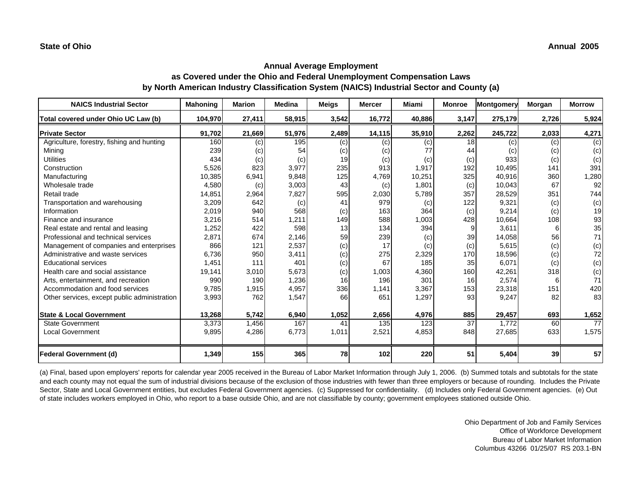| <b>NAICS Industrial Sector</b>               | <b>Mahoning</b> | <b>Marion</b> | <b>Medina</b> | <b>Meigs</b> | <b>Mercer</b> | Miami  | <b>Monroe</b> | <b>Montgomery</b> | <b>Morgan</b> | <b>Morrow</b> |
|----------------------------------------------|-----------------|---------------|---------------|--------------|---------------|--------|---------------|-------------------|---------------|---------------|
| Total covered under Ohio UC Law (b)          | 104,970         | 27,411        | 58,915        | 3,542        | 16,772        | 40,886 | 3,147         | 275,179           | 2,726         | 5,924         |
| <b>Private Sector</b>                        | 91,702          | 21,669        | 51,976        | 2,489        | 14,115        | 35,910 | 2,262         | 245,722           | 2,033         | 4,271         |
| Agriculture, forestry, fishing and hunting   | 160             | (c)           | 195           | (c)          | (c)           | (c)    | 18            | (c)               | (c)           | (c)           |
| Minina                                       | 239             | (c)           | 54            | (c)          | (c)           |        | 44            | (c)               | (c)           | (c)           |
| <b>Utilities</b>                             | 434             | (c)           | (c)           | 19           | (c)           | (c)    | (c)           | 933               | (c)           | (c)           |
| Construction                                 | 5,526           | 823           | 3,977         | 235          | 913           | 1,917  | 192           | 10.495            | 141           | 391           |
| Manufacturing                                | 10,385          | 6,941         | 9,848         | 125          | 4,769         | 10,251 | 325           | 40,916            | 360           | 1,280         |
| Wholesale trade                              | 4,580           | (c)           | 3,003         | 43           | (c)           | 1,801  | (c)           | 10,043            | 67            | 92            |
| Retail trade                                 | 14,851          | 2,964         | 7,827         | 595          | 2,030         | 5,789  | 357           | 28,529            | 351           | 744           |
| Transportation and warehousing               | 3,209           | 642           | (c)           | 41           | 979           | (c)    | 122           | 9,321             | (c)           | (c)           |
| Information                                  | 2,019           | 940           | 568           | (c)          | 163           | 364    | (c)           | 9.214             | (c)           | 19            |
| Finance and insurance                        | 3,216           | 514           | 1.211         | 149          | 588           | 1,003  | 428           | 10.664            | 108           | 93            |
| Real estate and rental and leasing           | 1,252           | 422           | 598           | 13           | 134           | 394    | 9             | 3.611             | 6             | 35            |
| Professional and technical services          | 2,871           | 674           | 2,146         | 59           | 239           | (c)    | 39            | 14,058            | 56            | 71            |
| Management of companies and enterprises      | 866             | 121           | 2,537         | (c)          | 17            | (c)    | (c)           | 5,615             | (c)           | (c)           |
| Administrative and waste services            | 6,736           | 950           | 3,411         | (c)          | 275           | 2,329  | 170           | 18,596            | (c)           | 72            |
| <b>Educational services</b>                  | 1,451           | 111           | 401           | (c)          | 67            | 185    | 35            | 6.071             | (c)           | (c)           |
| Health care and social assistance            | 19,141          | 3,010         | 5,673         | (c)          | 1,003         | 4,360  | 160l          | 42,261            | 318           | (c)           |
| Arts, entertainment, and recreation          | 990             | 190           | 1,236         | 16           | 196           | 301    | 16            | 2,574             | 6             | 71            |
| Accommodation and food services              | 9,785           | 1,915         | 4,957         | 336          | 1,141         | 3,367  | 153           | 23,318            | 151           | 420           |
| Other services, except public administration | 3,993           | 762           | 1,547         | 66           | 651           | 1,297  | 93            | 9,247             | 82            | 83            |
|                                              |                 |               |               |              |               |        |               |                   |               |               |
| <b>State &amp; Local Government</b>          | 13,268          | 5,742         | 6,940         | 1,052        | 2,656         | 4,976  | 885           | 29,457            | 693           | 1,652         |
| <b>State Government</b>                      | 3,373           | 1,456         | 167           | 41           | 135           | 123    | 37            | 1.772             | 60            | 77            |
| Local Government                             | 9,895           | 4,286         | 6,773         | 1,011        | 2,521         | 4,853  | 848           | 27,685            | 633           | 1,575         |
|                                              |                 |               |               |              |               |        |               |                   |               |               |
| <b>Federal Government (d)</b>                | 1,349           | 155           | 365           | 78           | 102           | 220    | 51            | 5,404             | 39            | 57            |

(a) Final, based upon employers' reports for calendar year 2005 received in the Bureau of Labor Market Information through July 1, 2006. (b) Summed totals and subtotals for the state and each county may not equal the sum of industrial divisions because of the exclusion of those industries with fewer than three employers or because of rounding. Includes the Private Sector, State and Local Government entities, but excludes Federal Government agencies. (c) Suppressed for confidentiality. (d) Includes only Federal Government agencies. (e) Out of state includes workers employed in Ohio, who report to a base outside Ohio, and are not classifiable by county; government employees stationed outside Ohio.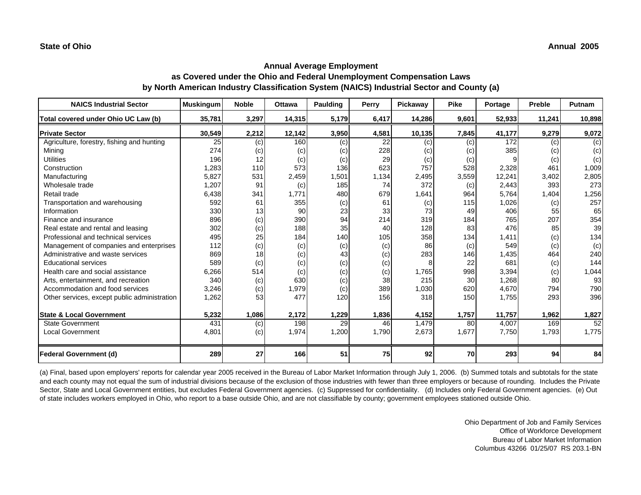| <b>NAICS Industrial Sector</b>               | <b>Muskingum</b> | <b>Noble</b> | <b>Ottawa</b> | <b>Paulding</b> | Perry | Pickaway | <b>Pike</b> | Portage | Preble | Putnam |
|----------------------------------------------|------------------|--------------|---------------|-----------------|-------|----------|-------------|---------|--------|--------|
| Total covered under Ohio UC Law (b)          | 35,781           | 3,297        | 14,315        | 5,179           | 6,417 | 14,286   | 9,601       | 52,933  | 11,241 | 10,898 |
| <b>Private Sector</b>                        | 30,549           | 2,212        | 12,142        | 3,950           | 4,581 | 10,135   | 7,845       | 41,177  | 9,279  | 9,072  |
| Agriculture, forestry, fishing and hunting   | 25               | (c)          | 160           | (c)             | 22    | (c)      | (c)         | 172     | (c)    | (c)    |
| Mining                                       | 274              | (c)          | (c)           | (c)             | 228   | (c)      | (c)         | 385     | (c)    | (c)    |
| <b>Utilities</b>                             | 196              | 12           | (c)           | (c)             | 29    | (c)      | (c)         |         | (c)    | (c)    |
| Construction                                 | 1,283            | 110          | 573           | 136             | 623   | 757      | 528         | 2,328   | 461    | 1,009  |
| Manufacturing                                | 5,827            | 531          | 2,459         | 1,501           | 1,134 | 2,495    | 3,559       | 12,241  | 3,402  | 2,805  |
| Wholesale trade                              | 1,207            | 91           | (c)           | 185             | 74    | 372      | (c)         | 2,443   | 393    | 273    |
| Retail trade                                 | 6,438            | 341          | 1.771         | 480             | 679   | 1,641    | 964         | 5,764   | 1,404  | 1,256  |
| Transportation and warehousing               | 592              | 61           | 355           | (c)             | 61    | (c)      | 115         | 1,026   | (c)    | 257    |
| Information                                  | 330              | 13           | 90            | 23              | 33    | 73       | 49          | 406     | 55     | 65     |
| Finance and insurance                        | 896              | (c)          | 390           | 94              | 214   | 319      | 184         | 765     | 207    | 354    |
| Real estate and rental and leasing           | 302              | (c)          | 188           | 35              | 40    | 128      | 83          | 476     | 85     | 39     |
| Professional and technical services          | 495              | 25           | 184           | 140             | 105   | 358      | 134         | 1,411   | (c)    | 134    |
| Management of companies and enterprises      | 112              | (c)          | (c)           | (c)             | (c)   | 86       | (c)         | 549     | (c)    | (c)    |
| Administrative and waste services            | 869              | 18           | (c)           | 43              | (c)   | 283      | 146         | 1,435   | 464    | 240    |
| <b>Educational services</b>                  | 589              | (c)          | (c)           | (c)             | (c)   |          | 22          | 681     | (c)    | 144    |
| Health care and social assistance            | 6,266            | 514          | (c)           | (c)             | (c)   | 1,765    | 998         | 3,394   | (c)    | 1,044  |
| Arts, entertainment, and recreation          | 340              | (c)          | 630           | (c)             | 38    | 215      | 30          | 1,268   | 80     | 93     |
| Accommodation and food services              | 3,246            | (c)          | 1,979         | (c)             | 389   | 1,030    | 620         | 4,670   | 794    | 790    |
| Other services, except public administration | 1,262            | 53           | 477           | 120             | 156   | 318      | 150         | 1,755   | 293    | 396    |
|                                              |                  |              |               |                 |       |          |             |         |        |        |
| <b>State &amp; Local Government</b>          | 5,232            | 1,086        | 2,172         | 1,229           | 1,836 | 4,152    | 1,757       | 11,757  | 1,962  | 1,827  |
| <b>State Government</b>                      | 431              | (c)          | 198           | 29              | 46    | 1,479    | 80          | 4,007   | 169    | 52     |
| <b>Local Government</b>                      | 4,801            | (c)          | 1,974         | 1,200           | 1,790 | 2,673    | 1,677       | 7,750   | 1,793  | 1,775  |
| Federal Government (d)                       | 289              | 27           | 166           | 51              | 75    | 92       | 70          | 293     | 94     | 84     |

(a) Final, based upon employers' reports for calendar year 2005 received in the Bureau of Labor Market Information through July 1, 2006. (b) Summed totals and subtotals for the state and each county may not equal the sum of industrial divisions because of the exclusion of those industries with fewer than three employers or because of rounding. Includes the Private Sector, State and Local Government entities, but excludes Federal Government agencies. (c) Suppressed for confidentiality. (d) Includes only Federal Government agencies. (e) Out of state includes workers employed in Ohio, who report to a base outside Ohio, and are not classifiable by county; government employees stationed outside Ohio.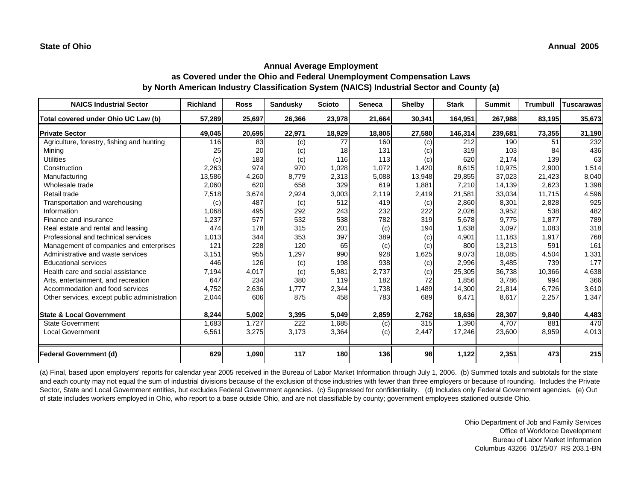| <b>NAICS Industrial Sector</b>               | <b>Richland</b> | <b>Ross</b> | <b>Sandusky</b> | <b>Scioto</b> | <b>Seneca</b> | <b>Shelby</b> | <b>Stark</b> | <b>Summit</b> | <b>Trumbull</b> | <b>Tuscarawas</b> |
|----------------------------------------------|-----------------|-------------|-----------------|---------------|---------------|---------------|--------------|---------------|-----------------|-------------------|
| Total covered under Ohio UC Law (b)          | 57,289          | 25,697      | 26,366          | 23,978        | 21,664        | 30,341        | 164,951      | 267,988       | 83,195          | 35,673            |
| <b>Private Sector</b>                        | 49,045          | 20,695      | 22,971          | 18,929        | 18,805        | 27,580        | 146,314      | 239,681       | 73,355          | 31,190            |
| Agriculture, forestry, fishing and hunting   | 116             | 83          | (c)             | 77            | 160           | (c)           | 212          | 190           | 51              | 232               |
| Mining                                       | 25              | 20          | (c)             | 18            | 131           | (c)           | 319          | 103           | 84              | 436               |
| <b>Utilities</b>                             | (c)             | 183         | (c)             | 116           | 113           | (c)           | 620          | 2,174         | 139             | 63                |
| Construction                                 | 2,263           | 974         | 970             | 1,028         | 1,072         | 1,420         | 8,615        | 10,975        | 2,900           | 1,514             |
| Manufacturing                                | 13,586          | 4,260       | 8,779           | 2,313         | 5,088         | 13,948        | 29,855       | 37,023        | 21,423          | 8,040             |
| Wholesale trade                              | 2,060           | 620         | 658             | 329           | 619           | 1,881         | 7,210        | 14,139        | 2,623           | 1,398             |
| Retail trade                                 | 7,518           | 3,674       | 2,924           | 3,003         | 2,119         | 2,419         | 21,581       | 33,034        | 11,715          | 4,596             |
| Transportation and warehousing               | (c)             | 487         | (c)             | 512           | 419           | (c)           | 2,860        | 8,301         | 2,828           | 925               |
| Information                                  | 1,068           | 495         | 292             | 243           | 232           | 222           | 2,026        | 3,952         | 538             | 482               |
| Finance and insurance                        | 1,237           | 577         | 532             | 538           | 782           | 319           | 5,678        | 9,775         | 1,877           | 789               |
| Real estate and rental and leasing           | 474             | 178         | 315             | 201           | (c)           | 194           | 1,638        | 3,097         | 1,083           | 318               |
| Professional and technical services          | 1,013           | 344         | 353             | 397           | 389           | (c)           | 4,901        | 11,183        | 1,917           | 768               |
| Management of companies and enterprises      | 121             | 228         | 120             | 65            | (c)           | (c)           | 800          | 13,213        | 591             | 161               |
| Administrative and waste services            | 3,151           | 955         | 1,297           | 990           | 928           | 1,625         | 9,073        | 18,085        | 4,504           | 1,331             |
| <b>Educational services</b>                  | 446             | 126         | (c)             | 198           | 938           | (c)           | 2,996        | 3,485         | 739             | 177               |
| Health care and social assistance            | 7,194           | 4,017       | (c)             | 5,981         | 2,737         | (c)           | 25,305       | 36,738        | 10,366          | 4,638             |
| Arts, entertainment, and recreation          | 647             | 234         | 380             | 119           | 182           | 72            | 1,856        | 3,786         | 994             | 366               |
| Accommodation and food services              | 4,752           | 2,636       | 1,777           | 2,344         | 1,738         | 1,489         | 14,300       | 21,814        | 6,726           | 3,610             |
| Other services, except public administration | 2,044           | 606         | 875             | 458           | 783           | 689           | 6,471        | 8,617         | 2,257           | 1,347             |
|                                              |                 |             |                 |               |               |               |              |               |                 |                   |
| <b>State &amp; Local Government</b>          | 8,244           | 5,002       | 3,395           | 5,049         | 2,859         | 2,762         | 18,636       | 28,307        | 9,840           | 4,483             |
| State Government                             | 1,683           | 1.727       | 222             | 1,685         | (c)           | 315           | 1,390        | 4.707         | 881             | 470               |
| <b>Local Government</b>                      | 6,561           | 3,275       | 3,173           | 3,364         | (c)           | 2,447         | 17,246       | 23,600        | 8,959           | 4,013             |
| Federal Government (d)                       | 629             | 1,090       | 117             | 180           | 136           | 98            | 1,122        | 2,351         | 473             | 215               |

(a) Final, based upon employers' reports for calendar year 2005 received in the Bureau of Labor Market Information through July 1, 2006. (b) Summed totals and subtotals for the state and each county may not equal the sum of industrial divisions because of the exclusion of those industries with fewer than three employers or because of rounding. Includes the Private Sector, State and Local Government entities, but excludes Federal Government agencies. (c) Suppressed for confidentiality. (d) Includes only Federal Government agencies. (e) Out of state includes workers employed in Ohio, who report to a base outside Ohio, and are not classifiable by county; government employees stationed outside Ohio.